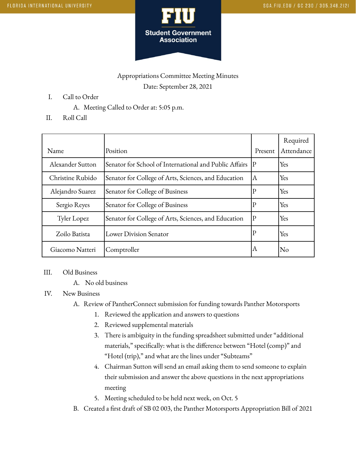

## Appropriations Committee Meeting Minutes Date: September 28, 2021

- I. Call to Order
	- A. Meeting Called to Order at: 5:05 p.m.
- II. Roll Call

| Name             | Position                                               | Present      | Required<br>Attendance |
|------------------|--------------------------------------------------------|--------------|------------------------|
| Alexander Sutton | Senator for School of International and Public Affairs | $ {\bf p} $  | Yes                    |
| Christine Rubido | Senator for College of Arts, Sciences, and Education   | A            | Yes                    |
| Alejandro Suarez | Senator for College of Business                        | $\mathbf{P}$ | Yes                    |
| Sergio Reyes     | Senator for College of Business                        | $\mathbf{P}$ | Yes                    |
| Tyler Lopez      | Senator for College of Arts, Sciences, and Education   | $ {\bf P} $  | Yes                    |
| Zoilo Batista    | Lower Division Senator                                 | $\mathbf{P}$ | Yes                    |
| Giacomo Natteri  | Comptroller                                            | ΙA           | No                     |

## III. Old Business

A. No old business

## IV. New Business

- A. Review of PantherConnect submission for funding towards Panther Motorsports
	- 1. Reviewed the application and answers to questions
	- 2. Reviewed supplemental materials
	- 3. There is ambiguity in the funding spreadsheet submitted under "additional materials," specifically: what is the difference between "Hotel (comp)" and "Hotel (trip)," and what are the lines under "Subteams"
	- 4. Chairman Sutton will send an email asking them to send someone to explain their submission and answer the above questions in the next appropriations meeting
	- 5. Meeting scheduled to be held next week, on Oct. 5
- B. Created a first draft of SB 02 003, the Panther Motorsports Appropriation Bill of 2021